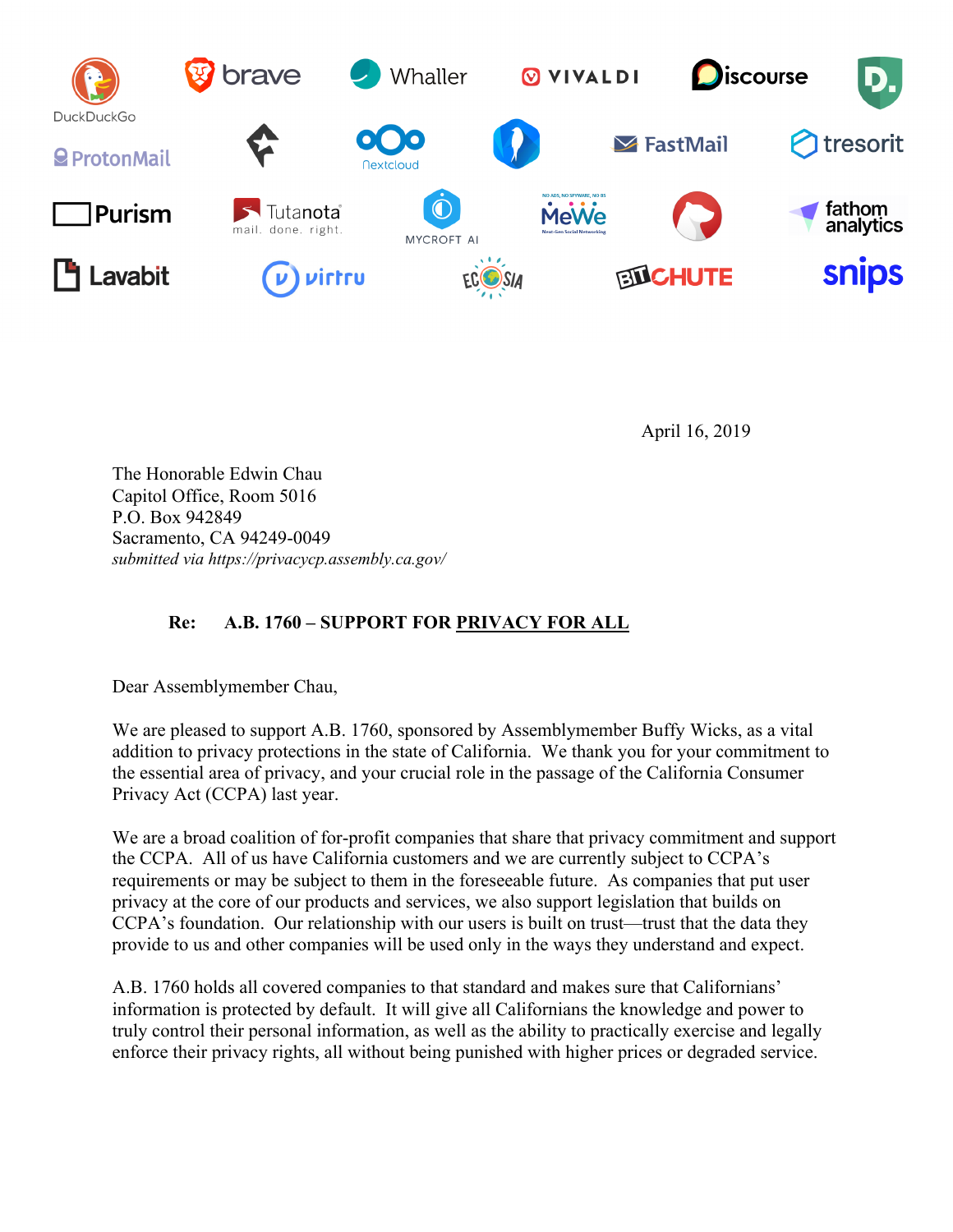

April 16, 2019

The Honorable Edwin Chau Capitol Office, Room 5016 P.O. Box 942849 Sacramento, CA 94249-0049 *submitted via https://privacycp.assembly.ca.gov/*

## **Re: A.B. 1760 – SUPPORT FOR PRIVACY FOR ALL**

Dear Assemblymember Chau,

We are pleased to support A.B. 1760, sponsored by Assemblymember Buffy Wicks, as a vital addition to privacy protections in the state of California. We thank you for your commitment to the essential area of privacy, and your crucial role in the passage of the California Consumer Privacy Act (CCPA) last year.

We are a broad coalition of for-profit companies that share that privacy commitment and support the CCPA. All of us have California customers and we are currently subject to CCPA's requirements or may be subject to them in the foreseeable future. As companies that put user privacy at the core of our products and services, we also support legislation that builds on CCPA's foundation. Our relationship with our users is built on trust—trust that the data they provide to us and other companies will be used only in the ways they understand and expect.

A.B. 1760 holds all covered companies to that standard and makes sure that Californians' information is protected by default. It will give all Californians the knowledge and power to truly control their personal information, as well as the ability to practically exercise and legally enforce their privacy rights, all without being punished with higher prices or degraded service.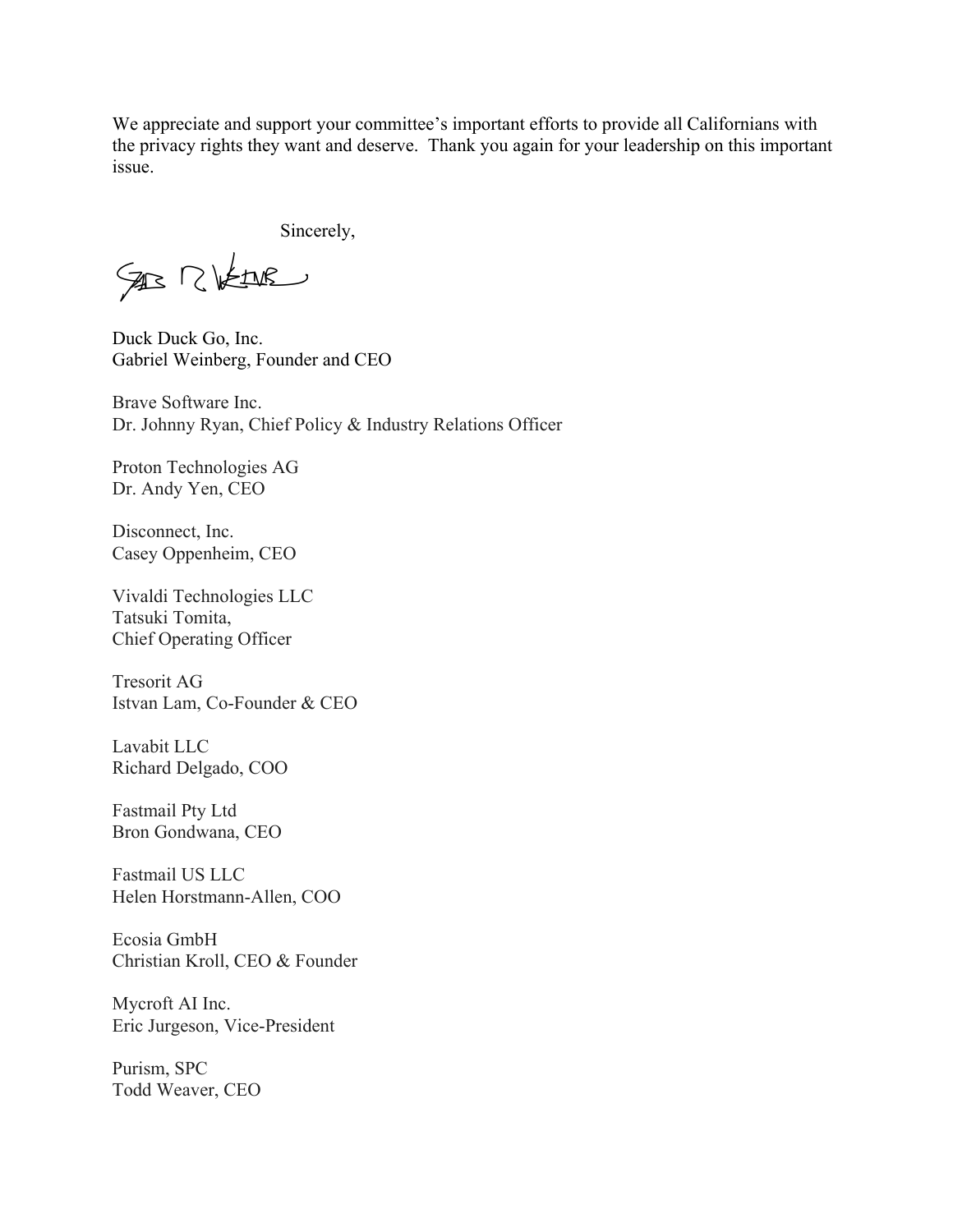We appreciate and support your committee's important efforts to provide all Californians with the privacy rights they want and deserve. Thank you again for your leadership on this important issue.

Sincerely,

SAB RIVEINE

Duck Duck Go, Inc. Gabriel Weinberg, Founder and CEO

Brave Software Inc. Dr. Johnny Ryan, Chief Policy & Industry Relations Officer

Proton Technologies AG Dr. Andy Yen, CEO

Disconnect, Inc. Casey Oppenheim, CEO

Vivaldi Technologies LLC Tatsuki Tomita, Chief Operating Officer

Tresorit AG Istvan Lam, Co-Founder & CEO

Lavabit LLC Richard Delgado, COO

Fastmail Pty Ltd Bron Gondwana, CEO

Fastmail US LLC Helen Horstmann-Allen, COO

Ecosia GmbH Christian Kroll, CEO & Founder

Mycroft AI Inc. Eric Jurgeson, Vice-President

Purism, SPC Todd Weaver, CEO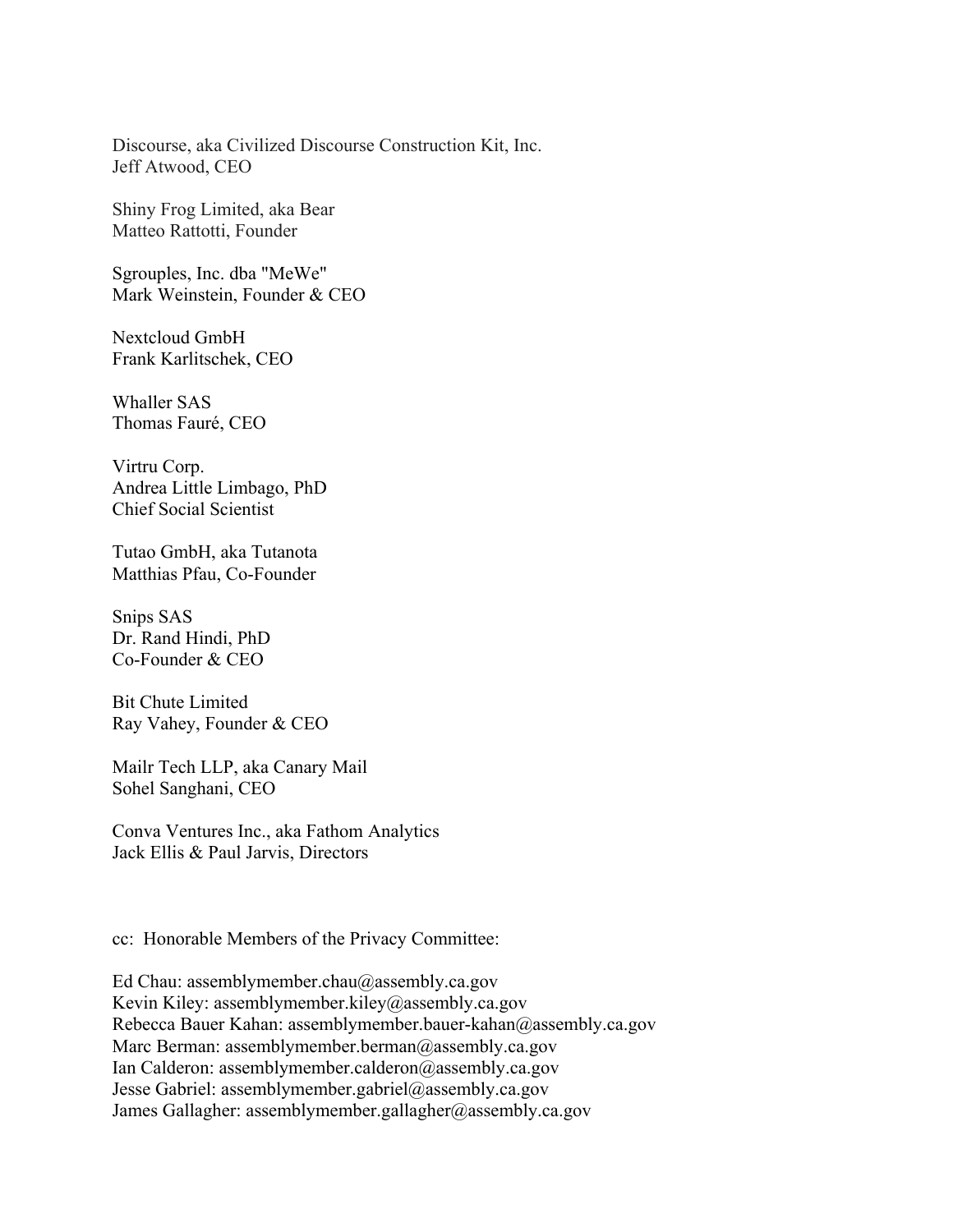Discourse, aka Civilized Discourse Construction Kit, Inc. Jeff Atwood, CEO

Shiny Frog Limited, aka Bear Matteo Rattotti, Founder

Sgrouples, Inc. dba "MeWe" Mark Weinstein, Founder & CEO

Nextcloud GmbH Frank Karlitschek, CEO

Whaller SAS Thomas Fauré, CEO

Virtru Corp. Andrea Little Limbago, PhD Chief Social Scientist

Tutao GmbH, aka Tutanota Matthias Pfau, Co-Founder

Snips SAS Dr. Rand Hindi, PhD Co-Founder & CEO

Bit Chute Limited Ray Vahey, Founder & CEO

Mailr Tech LLP, aka Canary Mail Sohel Sanghani, CEO

Conva Ventures Inc., aka Fathom Analytics Jack Ellis & Paul Jarvis, Directors

cc: Honorable Members of the Privacy Committee:

Ed Chau: assemblymember.chau@assembly.ca.gov Kevin Kiley: assemblymember.kiley@assembly.ca.gov Rebecca Bauer Kahan: assemblymember.bauer-kahan@assembly.ca.gov Marc Berman: assemblymember.berman@assembly.ca.gov Ian Calderon: assemblymember.calderon@assembly.ca.gov Jesse Gabriel: assemblymember.gabriel@assembly.ca.gov James Gallagher: assemblymember.gallagher@assembly.ca.gov